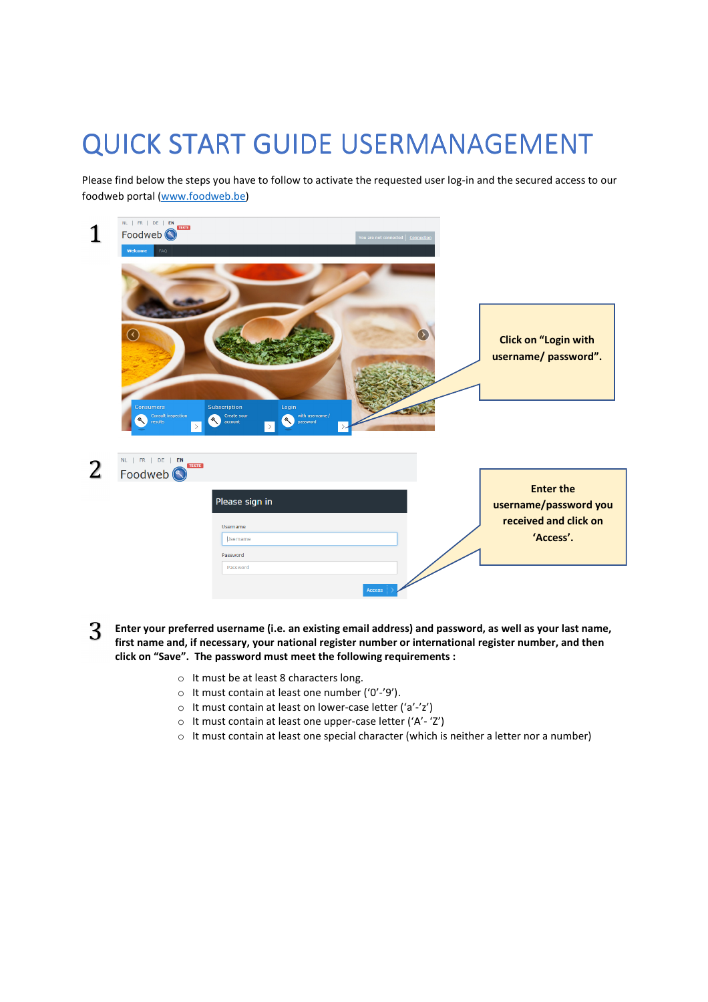## QUICK START GUIDE USERMANAGEMENT

Please find below the steps you have to follow to activate the requested user log-in and the secured access to our foodweb portal (www.foodweb.be)



- 3 Enter your preferred username (i.e. an existing email address) and password, as well as your last name, first name and, if necessary, your national register number or international register number, and then click on "Save". The password must meet the following requirements :
	- o It must be at least 8 characters long.
	- o It must contain at least one number ('0'-'9').
	- o It must contain at least on lower-case letter ('a'-'z')
	- o It must contain at least one upper-case letter ('A'- 'Z')
	- o It must contain at least one special character (which is neither a letter nor a number)